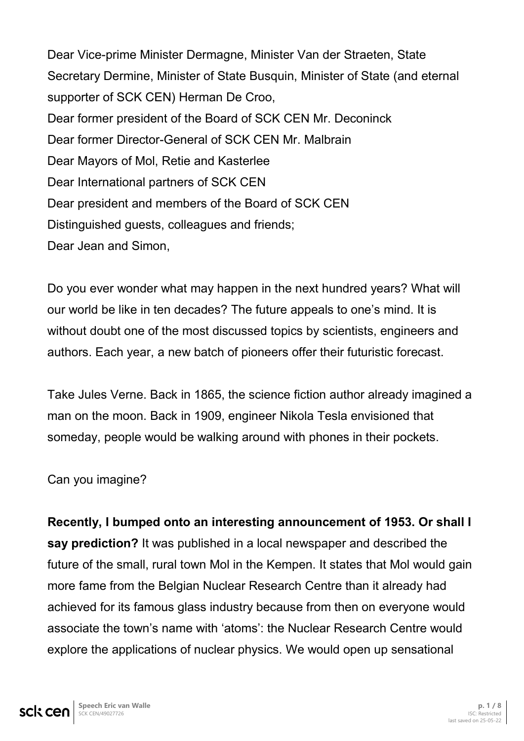Dear Vice-prime Minister Dermagne, Minister Van der Straeten, State Secretary Dermine, Minister of State Busquin, Minister of State (and eternal supporter of SCK CEN) Herman De Croo, Dear former president of the Board of SCK CEN Mr. Deconinck Dear former Director-General of SCK CEN Mr. Malbrain Dear Mayors of Mol, Retie and Kasterlee Dear International partners of SCK CEN Dear president and members of the Board of SCK CEN Distinguished guests, colleagues and friends; Dear Jean and Simon,

Do you ever wonder what may happen in the next hundred years? What will our world be like in ten decades? The future appeals to one's mind. It is without doubt one of the most discussed topics by scientists, engineers and authors. Each year, a new batch of pioneers offer their futuristic forecast.

Take Jules Verne. Back in 1865, the science fiction author already imagined a man on the moon. Back in 1909, engineer Nikola Tesla envisioned that someday, people would be walking around with phones in their pockets.

Can you imagine?

**Recently, I bumped onto an interesting announcement of 1953. Or shall I say prediction?** It was published in a local newspaper and described the future of the small, rural town Mol in the Kempen. It states that Mol would gain more fame from the Belgian Nuclear Research Centre than it already had achieved for its famous glass industry because from then on everyone would associate the town's name with 'atoms': the Nuclear Research Centre would explore the applications of nuclear physics. We would open up sensational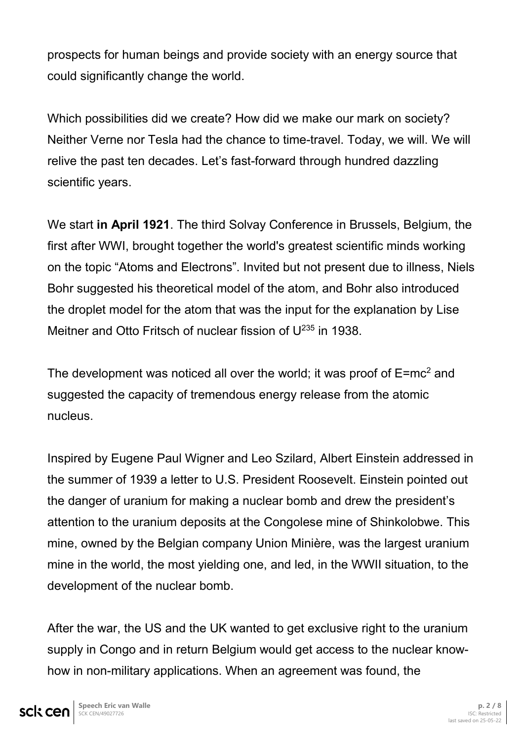prospects for human beings and provide society with an energy source that could significantly change the world.

Which possibilities did we create? How did we make our mark on society? Neither Verne nor Tesla had the chance to time-travel. Today, we will. We will relive the past ten decades. Let's fast-forward through hundred dazzling scientific years.

We start **in April 1921**. The third Solvay Conference in Brussels, Belgium, the first after WWI, brought together the world's greatest scientific minds working on the topic "Atoms and Electrons". Invited but not present due to illness, Niels Bohr suggested his theoretical model of the atom, and Bohr also introduced the droplet model for the atom that was the input for the explanation by Lise Meitner and Otto Fritsch of nuclear fission of U<sup>235</sup> in 1938.

The development was noticed all over the world; it was proof of  $E=mc^2$  and suggested the capacity of tremendous energy release from the atomic nucleus.

Inspired by Eugene Paul Wigner and Leo Szilard, Albert Einstein addressed in the summer of 1939 a letter to U.S. President Roosevelt. Einstein pointed out the danger of uranium for making a nuclear bomb and drew the president's attention to the uranium deposits at the Congolese mine of Shinkolobwe. This mine, owned by the Belgian company Union Minière, was the largest uranium mine in the world, the most yielding one, and led, in the WWII situation, to the development of the nuclear bomb.

After the war, the US and the UK wanted to get exclusive right to the uranium supply in Congo and in return Belgium would get access to the nuclear knowhow in non-military applications. When an agreement was found, the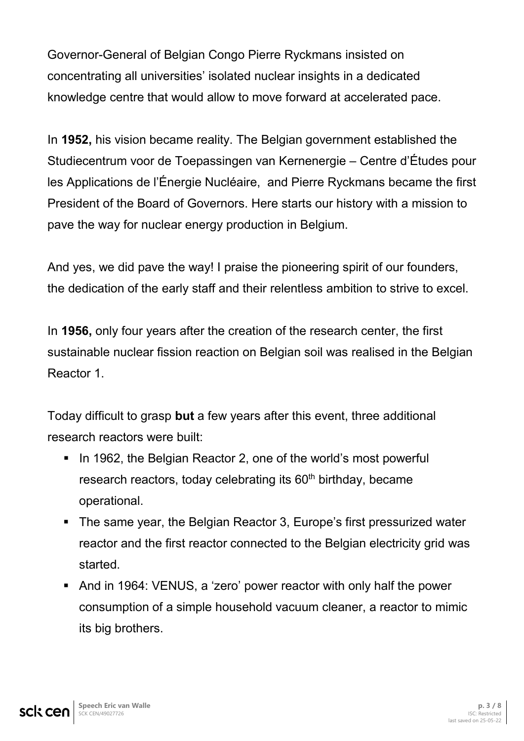Governor-General of Belgian Congo Pierre Ryckmans insisted on concentrating all universities' isolated nuclear insights in a dedicated knowledge centre that would allow to move forward at accelerated pace.

In **1952,** his vision became reality. The Belgian government established the Studiecentrum voor de Toepassingen van Kernenergie – Centre d'Études pour les Applications de l'Énergie Nucléaire, and Pierre Ryckmans became the first President of the Board of Governors. Here starts our history with a mission to pave the way for nuclear energy production in Belgium.

And yes, we did pave the way! I praise the pioneering spirit of our founders, the dedication of the early staff and their relentless ambition to strive to excel.

In **1956,** only four years after the creation of the research center, the first sustainable nuclear fission reaction on Belgian soil was realised in the Belgian Reactor 1.

Today difficult to grasp **but** a few years after this event, three additional research reactors were built:

- In 1962, the Belgian Reactor 2, one of the world's most powerful research reactors, today celebrating its 60<sup>th</sup> birthday, became operational.
- The same year, the Belgian Reactor 3, Europe's first pressurized water reactor and the first reactor connected to the Belgian electricity grid was started.
- And in 1964: VENUS, a 'zero' power reactor with only half the power consumption of a simple household vacuum cleaner, a reactor to mimic its big brothers.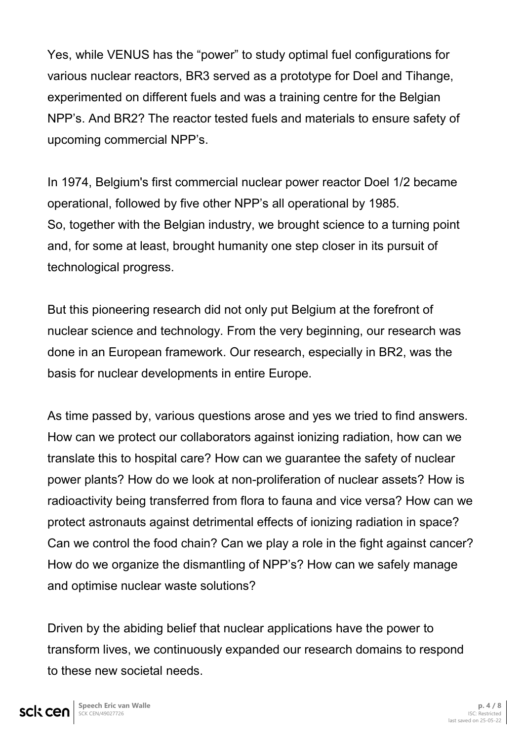Yes, while VENUS has the "power" to study optimal fuel configurations for various nuclear reactors, BR3 served as a prototype for Doel and Tihange, experimented on different fuels and was a training centre for the Belgian NPP's. And BR2? The reactor tested fuels and materials to ensure safety of upcoming commercial NPP's.

In 1974, Belgium's first commercial nuclear power reactor Doel 1/2 became operational, followed by five other NPP's all operational by 1985. So, together with the Belgian industry, we brought science to a turning point and, for some at least, brought humanity one step closer in its pursuit of technological progress.

But this pioneering research did not only put Belgium at the forefront of nuclear science and technology. From the very beginning, our research was done in an European framework. Our research, especially in BR2, was the basis for nuclear developments in entire Europe.

As time passed by, various questions arose and yes we tried to find answers. How can we protect our collaborators against ionizing radiation, how can we translate this to hospital care? How can we guarantee the safety of nuclear power plants? How do we look at non-proliferation of nuclear assets? How is radioactivity being transferred from flora to fauna and vice versa? How can we protect astronauts against detrimental effects of ionizing radiation in space? Can we control the food chain? Can we play a role in the fight against cancer? How do we organize the dismantling of NPP's? How can we safely manage and optimise nuclear waste solutions?

Driven by the abiding belief that nuclear applications have the power to transform lives, we continuously expanded our research domains to respond to these new societal needs.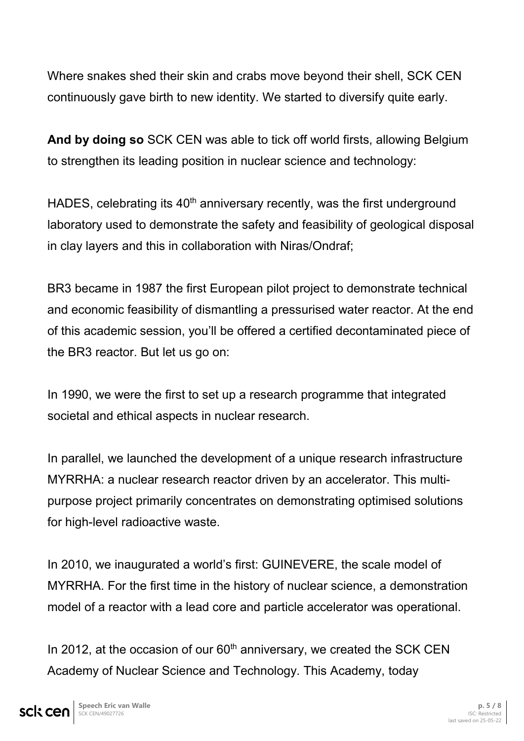Where snakes shed their skin and crabs move beyond their shell, SCK CEN continuously gave birth to new identity. We started to diversify quite early.

**And by doing so** SCK CEN was able to tick off world firsts, allowing Belgium to strengthen its leading position in nuclear science and technology:

HADES, celebrating its 40<sup>th</sup> anniversary recently, was the first underground laboratory used to demonstrate the safety and feasibility of geological disposal in clay layers and this in collaboration with Niras/Ondraf;

BR3 became in 1987 the first European pilot project to demonstrate technical and economic feasibility of dismantling a pressurised water reactor. At the end of this academic session, you'll be offered a certified decontaminated piece of the BR3 reactor. But let us go on:

In 1990, we were the first to set up a research programme that integrated societal and ethical aspects in nuclear research.

In parallel, we launched the development of a unique research infrastructure MYRRHA: a nuclear research reactor driven by an accelerator. This multipurpose project primarily concentrates on demonstrating optimised solutions for high-level radioactive waste.

In 2010, we inaugurated a world's first: GUINEVERE, the scale model of MYRRHA. For the first time in the history of nuclear science, a demonstration model of a reactor with a lead core and particle accelerator was operational.

In 2012, at the occasion of our  $60<sup>th</sup>$  anniversary, we created the SCK CEN Academy of Nuclear Science and Technology. This Academy, today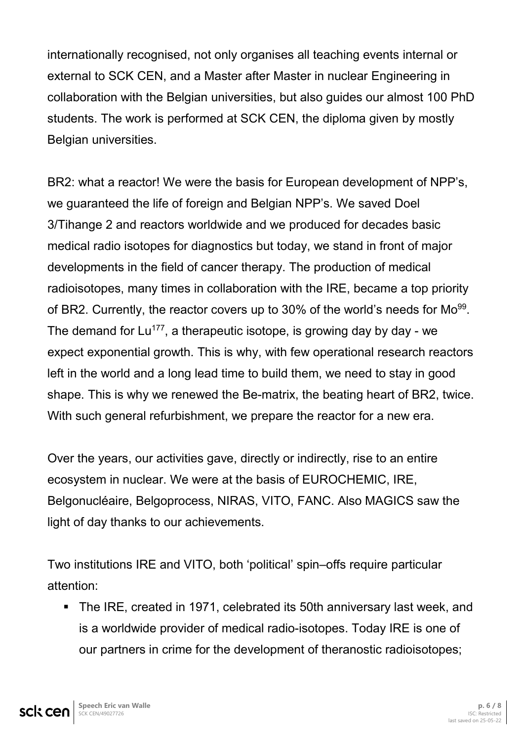internationally recognised, not only organises all teaching events internal or external to SCK CEN, and a Master after Master in nuclear Engineering in collaboration with the Belgian universities, but also guides our almost 100 PhD students. The work is performed at SCK CEN, the diploma given by mostly Belgian universities.

BR2: what a reactor! We were the basis for European development of NPP's, we guaranteed the life of foreign and Belgian NPP's. We saved Doel 3/Tihange 2 and reactors worldwide and we produced for decades basic medical radio isotopes for diagnostics but today, we stand in front of major developments in the field of cancer therapy. The production of medical radioisotopes, many times in collaboration with the IRE, became a top priority of BR2. Currently, the reactor covers up to 30% of the world's needs for  $Mo^{99}$ . The demand for  $Lu^{177}$ , a therapeutic isotope, is growing day by day - we expect exponential growth. This is why, with few operational research reactors left in the world and a long lead time to build them, we need to stay in good shape. This is why we renewed the Be-matrix, the beating heart of BR2, twice. With such general refurbishment, we prepare the reactor for a new era.

Over the years, our activities gave, directly or indirectly, rise to an entire ecosystem in nuclear. We were at the basis of EUROCHEMIC, IRE, Belgonucléaire, Belgoprocess, NIRAS, VITO, FANC. Also MAGICS saw the light of day thanks to our achievements.

Two institutions IRE and VITO, both 'political' spin–offs require particular attention:

 The IRE, created in 1971, celebrated its 50th anniversary last week, and is a worldwide provider of medical radio-isotopes. Today IRE is one of our partners in crime for the development of theranostic radioisotopes;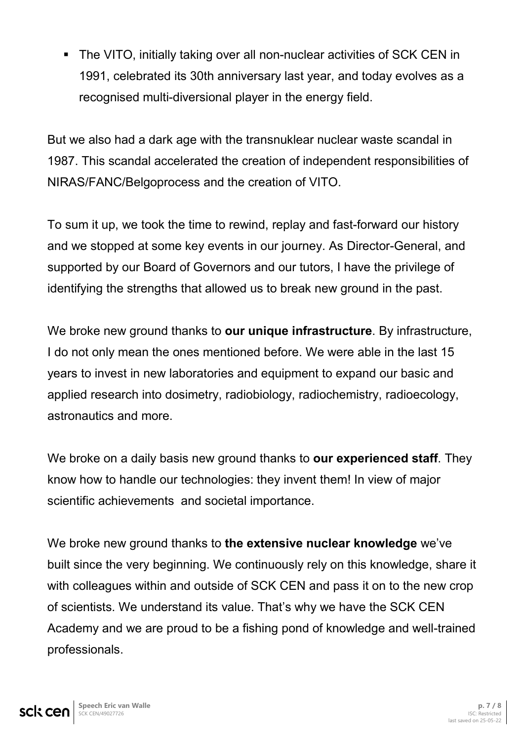The VITO, initially taking over all non-nuclear activities of SCK CEN in 1991, celebrated its 30th anniversary last year, and today evolves as a recognised multi-diversional player in the energy field.

But we also had a dark age with the transnuklear nuclear waste scandal in 1987. This scandal accelerated the creation of independent responsibilities of NIRAS/FANC/Belgoprocess and the creation of VITO.

To sum it up, we took the time to rewind, replay and fast-forward our history and we stopped at some key events in our journey. As Director-General, and supported by our Board of Governors and our tutors, I have the privilege of identifying the strengths that allowed us to break new ground in the past.

We broke new ground thanks to **our unique infrastructure**. By infrastructure, I do not only mean the ones mentioned before. We were able in the last 15 years to invest in new laboratories and equipment to expand our basic and applied research into dosimetry, radiobiology, radiochemistry, radioecology, astronautics and more.

We broke on a daily basis new ground thanks to **our experienced staff**. They know how to handle our technologies: they invent them! In view of major scientific achievements and societal importance.

We broke new ground thanks to **the extensive nuclear knowledge** we've built since the very beginning. We continuously rely on this knowledge, share it with colleagues within and outside of SCK CEN and pass it on to the new crop of scientists. We understand its value. That's why we have the SCK CEN Academy and we are proud to be a fishing pond of knowledge and well-trained professionals.